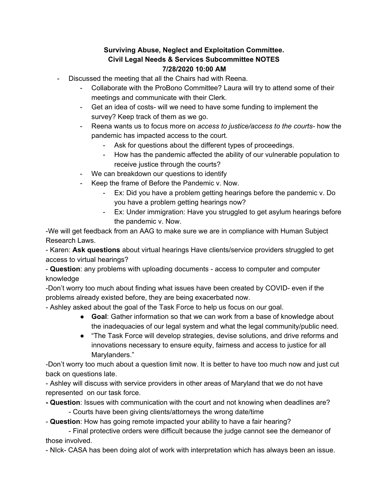## **Surviving Abuse, Neglect and Exploitation Committee. Civil Legal Needs & Services Subcommittee NOTES 7/28/2020 10:00 AM**

- Discussed the meeting that all the Chairs had with Reena.
	- Collaborate with the ProBono Committee? Laura will try to attend some of their meetings and communicate with their Clerk.
	- Get an idea of costs- will we need to have some funding to implement the survey? Keep track of them as we go.
	- Reena wants us to focus more on *access to justice/access to the courts-* how the pandemic has impacted access to the court.
		- Ask for questions about the different types of proceedings.
		- How has the pandemic affected the ability of our vulnerable population to receive justice through the courts?
	- We can breakdown our questions to identify
	- Keep the frame of Before the Pandemic v. Now.
		- Ex: Did you have a problem getting hearings before the pandemic v. Do you have a problem getting hearings now?
		- Ex: Under immigration: Have you struggled to get asylum hearings before the pandemic v. Now.

-We will get feedback from an AAG to make sure we are in compliance with Human Subject Research Laws.

- Karen: **Ask questions** about virtual hearings Have clients/service providers struggled to get access to virtual hearings?

- **Question**: any problems with uploading documents - access to computer and computer knowledge

-Don't worry too much about finding what issues have been created by COVID- even if the problems already existed before, they are being exacerbated now.

- Ashley asked about the goal of the Task Force to help us focus on our goal.

- **Goal**: Gather information so that we can work from a base of knowledge about the inadequacies of our legal system and what the legal community/public need.
- "The Task Force will develop strategies, devise solutions, and drive reforms and innovations necessary to ensure equity, fairness and access to justice for all Marylanders."

-Don't worry too much about a question limit now. It is better to have too much now and just cut back on questions late.

- Ashley will discuss with service providers in other areas of Maryland that we do not have represented on our task force.

**- Question**: Issues with communication with the court and not knowing when deadlines are?

- Courts have been giving clients/attorneys the wrong date/time

- **Question**: How has going remote impacted your ability to have a fair hearing?

- Final protective orders were difficult because the judge cannot see the demeanor of those involved.

- NIck- CASA has been doing alot of work with interpretation which has always been an issue.